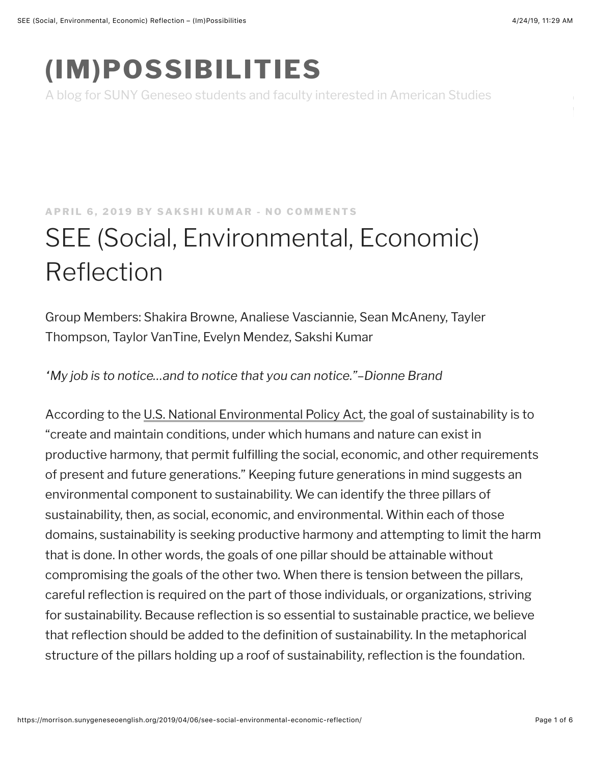## **(IM)POSSIBILITIES**

A blog for SUNY Geneseo students and faculty interested in American Studies

## **[APRIL 6, 2019](https://morrison.sunygeneseoenglish.org/2019/04/06/see-social-environmental-economic-reflection/) BY [SAKSHI KUMAR](https://morrison.sunygeneseoenglish.org/author/sincerelysakshi2/) - NO COMMENTS**

## SEE (Social, Environmental, Economic) Reflection

Group Members: Shakira Browne, Analiese Vasciannie, Sean McAneny, Tayler Thompson, Taylor VanTine, Evelyn Mendez, Sakshi Kumar

*"My job is to notice…and to notice that you can notice."–Dionne Brand*

According to the [U.S. National Environmental Policy Act](https://www.epa.gov/sites/production/files/2015-05/documents/sustainability_primer_v9.pdf), the goal of sustainability is to "create and maintain conditions, under which humans and nature can exist in productive harmony, that permit fulfilling the social, economic, and other requirements of present and future generations." Keeping future generations in mind suggests an environmental component to sustainability. We can identify the three pillars of sustainability, then, as social, economic, and environmental. Within each of those domains, sustainability is seeking productive harmony and attempting to limit the harm that is done. In other words, the goals of one pillar should be attainable without compromising the goals of the other two. When there is tension between the pillars, careful reflection is required on the part of those individuals, or organizations, striving for sustainability. Because reflection is so essential to sustainable practice, we believe that reflection should be added to the definition of sustainability. In the metaphorical structure of the pillars holding up a roof of sustainability, reflection is the foundation.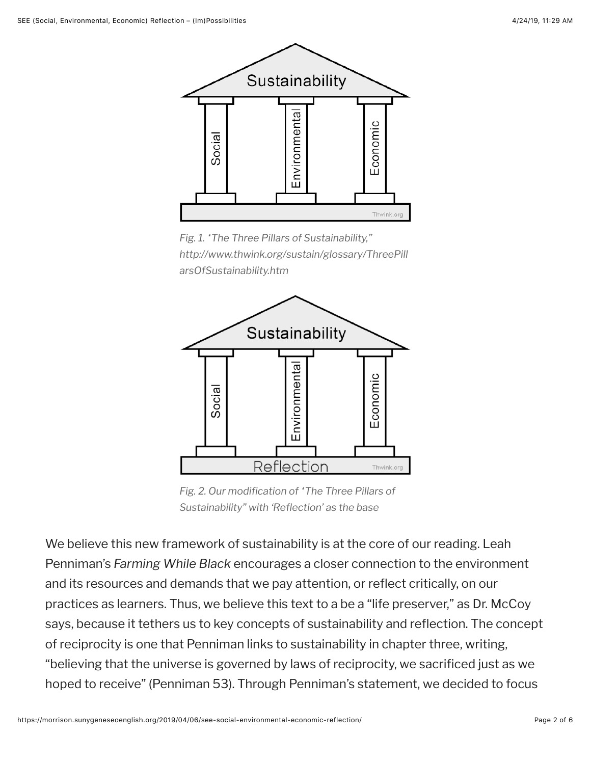

*Fig. 1. "The Three Pillars of Sustainability," http://www.thwink.org/sustain/glossary/ThreePill arsOfSustainability.htm*



*Fig. 2. Our modification of "The Three Pillars of Sustainability" with 'Reflection' as the base*

We believe this new framework of sustainability is at the core of our reading. Leah Penniman's *Farming While Black* encourages a closer connection to the environment and its resources and demands that we pay attention, or reflect critically, on our practices as learners. Thus, we believe this text to a be a "life preserver," as Dr. McCoy says, because it tethers us to key concepts of sustainability and reflection. The concept of reciprocity is one that Penniman links to sustainability in chapter three, writing, "believing that the universe is governed by laws of reciprocity, we sacrificed just as we hoped to receive" (Penniman 53). Through Penniman's statement, we decided to focus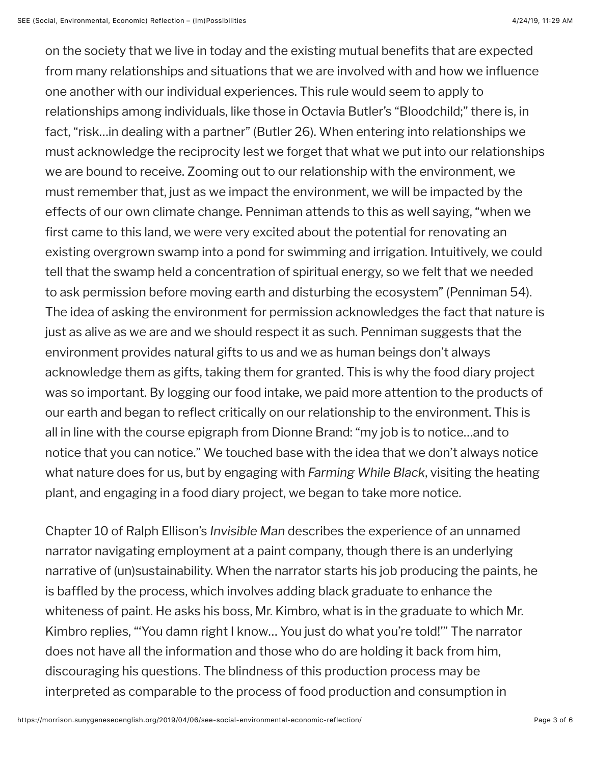on the society that we live in today and the existing mutual benefits that are expected from many relationships and situations that we are involved with and how we influence one another with our individual experiences. This rule would seem to apply to relationships among individuals, like those in Octavia Butler's "Bloodchild;" there is, in fact, "risk…in dealing with a partner" (Butler 26). When entering into relationships we must acknowledge the reciprocity lest we forget that what we put into our relationships we are bound to receive. Zooming out to our relationship with the environment, we must remember that, just as we impact the environment, we will be impacted by the effects of our own climate change. Penniman attends to this as well saying, "when we first came to this land, we were very excited about the potential for renovating an existing overgrown swamp into a pond for swimming and irrigation. Intuitively, we could tell that the swamp held a concentration of spiritual energy, so we felt that we needed to ask permission before moving earth and disturbing the ecosystem" (Penniman 54). The idea of asking the environment for permission acknowledges the fact that nature is just as alive as we are and we should respect it as such. Penniman suggests that the environment provides natural gifts to us and we as human beings don't always acknowledge them as gifts, taking them for granted. This is why the food diary project was so important. By logging our food intake, we paid more attention to the products of our earth and began to reflect critically on our relationship to the environment. This is all in line with the course epigraph from Dionne Brand: "my job is to notice…and to notice that you can notice." We touched base with the idea that we don't always notice what nature does for us, but by engaging with *Farming While Black*, visiting the heating plant, and engaging in a food diary project, we began to take more notice.

Chapter 10 of Ralph Ellison's *Invisible Man* describes the experience of an unnamed narrator navigating employment at a paint company, though there is an underlying narrative of (un)sustainability. When the narrator starts his job producing the paints, he is baffled by the process, which involves adding black graduate to enhance the whiteness of paint. He asks his boss, Mr. Kimbro, what is in the graduate to which Mr. Kimbro replies, "'You damn right I know… You just do what you're told!'" The narrator does not have all the information and those who do are holding it back from him, discouraging his questions. The blindness of this production process may be interpreted as comparable to the process of food production and consumption in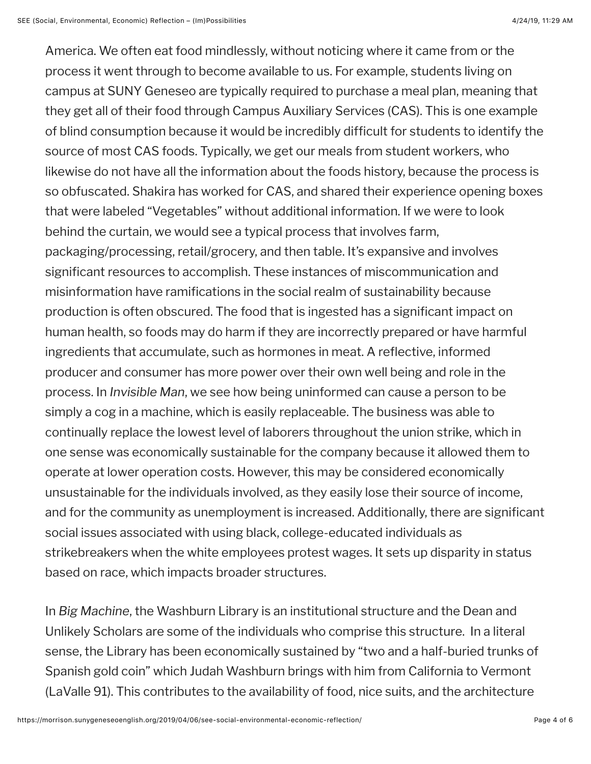America. We often eat food mindlessly, without noticing where it came from or the process it went through to become available to us. For example, students living on campus at SUNY Geneseo are typically required to purchase a meal plan, meaning that they get all of their food through Campus Auxiliary Services (CAS). This is one example of blind consumption because it would be incredibly difficult for students to identify the source of most CAS foods. Typically, we get our meals from student workers, who likewise do not have all the information about the foods history, because the process is so obfuscated. Shakira has worked for CAS, and shared their experience opening boxes that were labeled "Vegetables" without additional information. If we were to look behind the curtain, we would see a typical process that involves farm, packaging/processing, retail/grocery, and then table. It's expansive and involves significant resources to accomplish. These instances of miscommunication and misinformation have ramifications in the social realm of sustainability because production is often obscured. The food that is ingested has a significant impact on human health, so foods may do harm if they are incorrectly prepared or have harmful ingredients that accumulate, such as hormones in meat. A reflective, informed producer and consumer has more power over their own well being and role in the process. In *Invisible Man*, we see how being uninformed can cause a person to be simply a cog in a machine, which is easily replaceable. The business was able to continually replace the lowest level of laborers throughout the union strike, which in one sense was economically sustainable for the company because it allowed them to operate at lower operation costs. However, this may be considered economically unsustainable for the individuals involved, as they easily lose their source of income, and for the community as unemployment is increased. Additionally, there are significant social issues associated with using black, college-educated individuals as strikebreakers when the white employees protest wages. It sets up disparity in status based on race, which impacts broader structures.

In *Big Machine*, the Washburn Library is an institutional structure and the Dean and Unlikely Scholars are some of the individuals who comprise this structure. In a literal sense, the Library has been economically sustained by "two and a half-buried trunks of Spanish gold coin" which Judah Washburn brings with him from California to Vermont (LaValle 91). This contributes to the availability of food, nice suits, and the architecture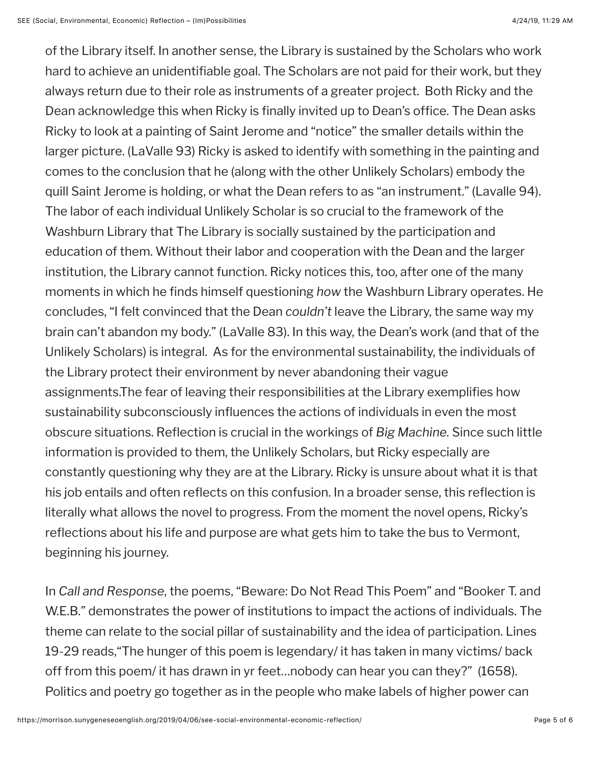of the Library itself. In another sense, the Library is sustained by the Scholars who work hard to achieve an unidentifiable goal. The Scholars are not paid for their work, but they always return due to their role as instruments of a greater project. Both Ricky and the Dean acknowledge this when Ricky is finally invited up to Dean's office. The Dean asks Ricky to look at a painting of Saint Jerome and "notice" the smaller details within the larger picture. (LaValle 93) Ricky is asked to identify with something in the painting and comes to the conclusion that he (along with the other Unlikely Scholars) embody the quill Saint Jerome is holding, or what the Dean refers to as "an instrument." (Lavalle 94). The labor of each individual Unlikely Scholar is so crucial to the framework of the Washburn Library that The Library is socially sustained by the participation and education of them. Without their labor and cooperation with the Dean and the larger institution, the Library cannot function. Ricky notices this, too, after one of the many moments in which he finds himself questioning *how* the Washburn Library operates. He concludes, "I felt convinced that the Dean *couldn't* leave the Library, the same way my brain can't abandon my body." (LaValle 83). In this way, the Dean's work (and that of the Unlikely Scholars) is integral. As for the environmental sustainability, the individuals of the Library protect their environment by never abandoning their vague assignments.The fear of leaving their responsibilities at the Library exemplifies how sustainability subconsciously influences the actions of individuals in even the most obscure situations. Reflection is crucial in the workings of *Big Machine.* Since such little information is provided to them, the Unlikely Scholars, but Ricky especially are constantly questioning why they are at the Library. Ricky is unsure about what it is that his job entails and often reflects on this confusion. In a broader sense, this reflection is literally what allows the novel to progress. From the moment the novel opens, Ricky's reflections about his life and purpose are what gets him to take the bus to Vermont, beginning his journey.

In *Call and Response*, the poems, "Beware: Do Not Read This Poem" and "Booker T. and W.E.B." demonstrates the power of institutions to impact the actions of individuals. The theme can relate to the social pillar of sustainability and the idea of participation. Lines 19-29 reads,"The hunger of this poem is legendary/ it has taken in many victims/ back off from this poem/ it has drawn in yr feet…nobody can hear you can they?" (1658). Politics and poetry go together as in the people who make labels of higher power can